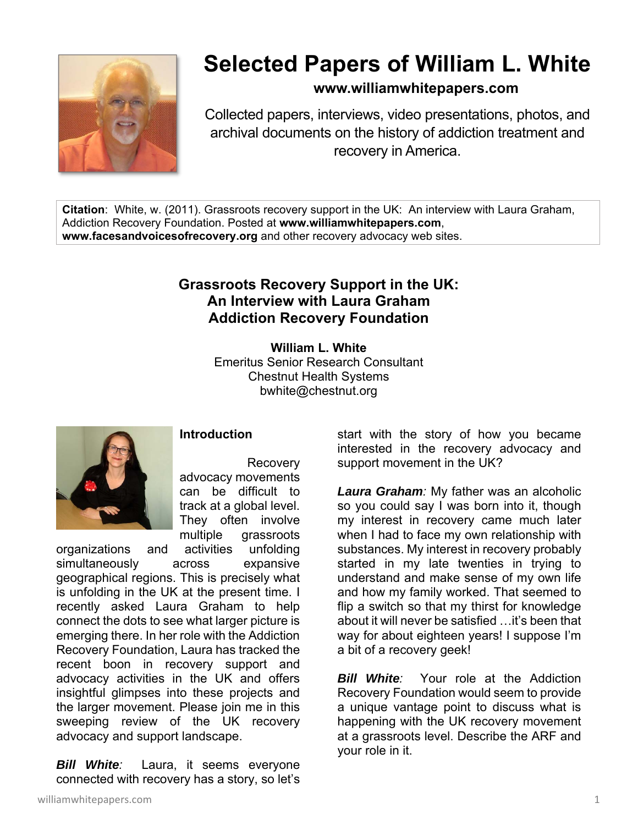

## **Selected Papers of William L. White**

**www.williamwhitepapers.com**

Collected papers, interviews, video presentations, photos, and archival documents on the history of addiction treatment and recovery in America.

**Citation**: White, w. (2011). Grassroots recovery support in the UK: An interview with Laura Graham, Addiction Recovery Foundation. Posted at **www.williamwhitepapers.com**, **www.facesandvoicesofrecovery.org** and other recovery advocacy web sites.

## **Grassroots Recovery Support in the UK: An Interview with Laura Graham Addiction Recovery Foundation**

**William L. White**  Emeritus Senior Research Consultant Chestnut Health Systems bwhite@chestnut.org



## **Introduction**

 Recovery advocacy movements can be difficult to track at a global level. They often involve multiple grassroots

organizations and activities unfolding simultaneously across expansive geographical regions. This is precisely what is unfolding in the UK at the present time. I recently asked Laura Graham to help connect the dots to see what larger picture is emerging there. In her role with the Addiction Recovery Foundation, Laura has tracked the recent boon in recovery support and advocacy activities in the UK and offers insightful glimpses into these projects and the larger movement. Please join me in this sweeping review of the UK recovery advocacy and support landscape.

*Bill White:* Laura, it seems everyone connected with recovery has a story, so let's

start with the story of how you became interested in the recovery advocacy and support movement in the UK?

*Laura Graham:* My father was an alcoholic so you could say I was born into it, though my interest in recovery came much later when I had to face my own relationship with substances. My interest in recovery probably started in my late twenties in trying to understand and make sense of my own life and how my family worked. That seemed to flip a switch so that my thirst for knowledge about it will never be satisfied …it's been that way for about eighteen years! I suppose I'm a bit of a recovery geek!

*Bill White*: Your role at the Addiction Recovery Foundation would seem to provide a unique vantage point to discuss what is happening with the UK recovery movement at a grassroots level. Describe the ARF and your role in it.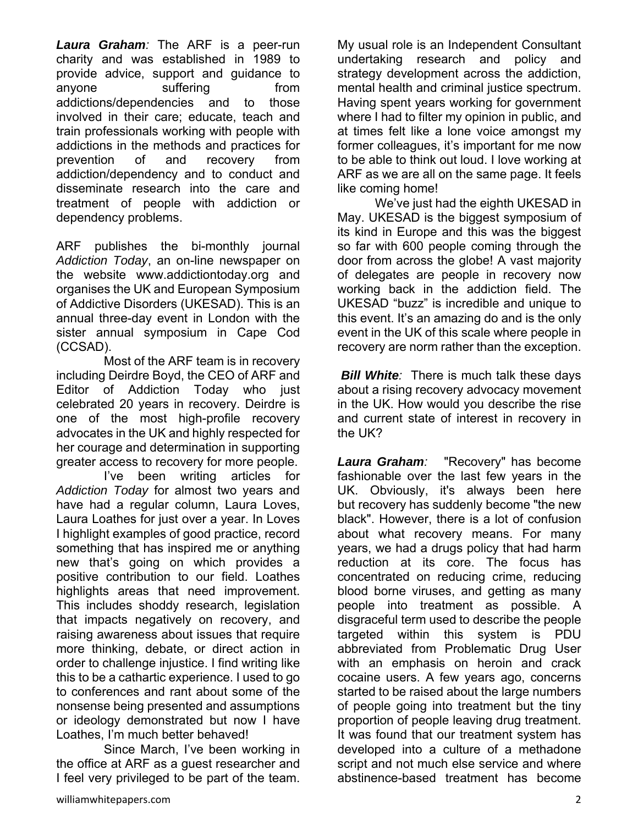*Laura Graham:* The ARF is a peer-run charity and was established in 1989 to provide advice, support and guidance to anyone suffering from addictions/dependencies and to those involved in their care; educate, teach and train professionals working with people with addictions in the methods and practices for prevention of and recovery from addiction/dependency and to conduct and disseminate research into the care and treatment of people with addiction or dependency problems.

ARF publishes the bi-monthly journal *Addiction Today*, an on-line newspaper on the website www.addictiontoday.org and organises the UK and European Symposium of Addictive Disorders (UKESAD). This is an annual three-day event in London with the sister annual symposium in Cape Cod (CCSAD).

 Most of the ARF team is in recovery including Deirdre Boyd, the CEO of ARF and Editor of Addiction Today who just celebrated 20 years in recovery. Deirdre is one of the most high-profile recovery advocates in the UK and highly respected for her courage and determination in supporting greater access to recovery for more people.

 I've been writing articles for *Addiction Today* for almost two years and have had a regular column, Laura Loves, Laura Loathes for just over a year. In Loves I highlight examples of good practice, record something that has inspired me or anything new that's going on which provides a positive contribution to our field. Loathes highlights areas that need improvement. This includes shoddy research, legislation that impacts negatively on recovery, and raising awareness about issues that require more thinking, debate, or direct action in order to challenge injustice. I find writing like this to be a cathartic experience. I used to go to conferences and rant about some of the nonsense being presented and assumptions or ideology demonstrated but now I have Loathes, I'm much better behaved!

 Since March, I've been working in the office at ARF as a guest researcher and I feel very privileged to be part of the team.

My usual role is an Independent Consultant undertaking research and policy and strategy development across the addiction, mental health and criminal justice spectrum. Having spent years working for government where I had to filter my opinion in public, and at times felt like a lone voice amongst my former colleagues, it's important for me now to be able to think out loud. I love working at ARF as we are all on the same page. It feels like coming home!

 We've just had the eighth UKESAD in May. UKESAD is the biggest symposium of its kind in Europe and this was the biggest so far with 600 people coming through the door from across the globe! A vast majority of delegates are people in recovery now working back in the addiction field. The UKESAD "buzz" is incredible and unique to this event. It's an amazing do and is the only event in the UK of this scale where people in recovery are norm rather than the exception.

*Bill White:* There is much talk these days about a rising recovery advocacy movement in the UK. How would you describe the rise and current state of interest in recovery in the UK?

*Laura Graham:* "Recovery" has become fashionable over the last few years in the UK. Obviously, it's always been here but recovery has suddenly become "the new black". However, there is a lot of confusion about what recovery means. For many years, we had a drugs policy that had harm reduction at its core. The focus has concentrated on reducing crime, reducing blood borne viruses, and getting as many people into treatment as possible. A disgraceful term used to describe the people targeted within this system is PDU abbreviated from Problematic Drug User with an emphasis on heroin and crack cocaine users. A few years ago, concerns started to be raised about the large numbers of people going into treatment but the tiny proportion of people leaving drug treatment. It was found that our treatment system has developed into a culture of a methadone script and not much else service and where abstinence-based treatment has become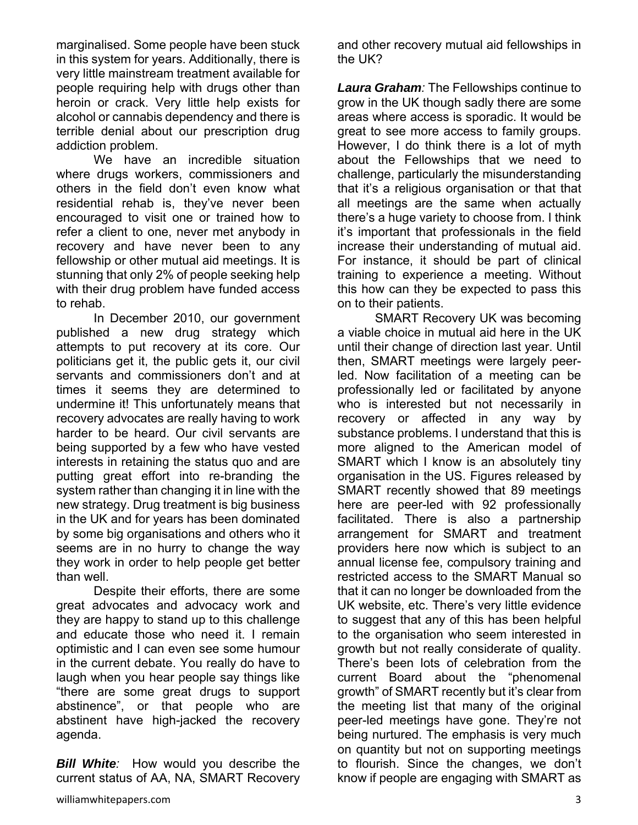marginalised. Some people have been stuck in this system for years. Additionally, there is very little mainstream treatment available for people requiring help with drugs other than heroin or crack. Very little help exists for alcohol or cannabis dependency and there is terrible denial about our prescription drug addiction problem.

 We have an incredible situation where drugs workers, commissioners and others in the field don't even know what residential rehab is, they've never been encouraged to visit one or trained how to refer a client to one, never met anybody in recovery and have never been to any fellowship or other mutual aid meetings. It is stunning that only 2% of people seeking help with their drug problem have funded access to rehab.

 In December 2010, our government published a new drug strategy which attempts to put recovery at its core. Our politicians get it, the public gets it, our civil servants and commissioners don't and at times it seems they are determined to undermine it! This unfortunately means that recovery advocates are really having to work harder to be heard. Our civil servants are being supported by a few who have vested interests in retaining the status quo and are putting great effort into re-branding the system rather than changing it in line with the new strategy. Drug treatment is big business in the UK and for years has been dominated by some big organisations and others who it seems are in no hurry to change the way they work in order to help people get better than well.

 Despite their efforts, there are some great advocates and advocacy work and they are happy to stand up to this challenge and educate those who need it. I remain optimistic and I can even see some humour in the current debate. You really do have to laugh when you hear people say things like "there are some great drugs to support abstinence", or that people who are abstinent have high-jacked the recovery agenda.

*Bill White:* How would you describe the current status of AA, NA, SMART Recovery and other recovery mutual aid fellowships in the UK?

*Laura Graham:* The Fellowships continue to grow in the UK though sadly there are some areas where access is sporadic. It would be great to see more access to family groups. However, I do think there is a lot of myth about the Fellowships that we need to challenge, particularly the misunderstanding that it's a religious organisation or that that all meetings are the same when actually there's a huge variety to choose from. I think it's important that professionals in the field increase their understanding of mutual aid. For instance, it should be part of clinical training to experience a meeting. Without this how can they be expected to pass this on to their patients.

 SMART Recovery UK was becoming a viable choice in mutual aid here in the UK until their change of direction last year. Until then, SMART meetings were largely peerled. Now facilitation of a meeting can be professionally led or facilitated by anyone who is interested but not necessarily in recovery or affected in any way by substance problems. I understand that this is more aligned to the American model of SMART which I know is an absolutely tiny organisation in the US. Figures released by SMART recently showed that 89 meetings here are peer-led with 92 professionally facilitated. There is also a partnership arrangement for SMART and treatment providers here now which is subject to an annual license fee, compulsory training and restricted access to the SMART Manual so that it can no longer be downloaded from the UK website, etc. There's very little evidence to suggest that any of this has been helpful to the organisation who seem interested in growth but not really considerate of quality. There's been lots of celebration from the current Board about the "phenomenal growth" of SMART recently but it's clear from the meeting list that many of the original peer-led meetings have gone. They're not being nurtured. The emphasis is very much on quantity but not on supporting meetings to flourish. Since the changes, we don't know if people are engaging with SMART as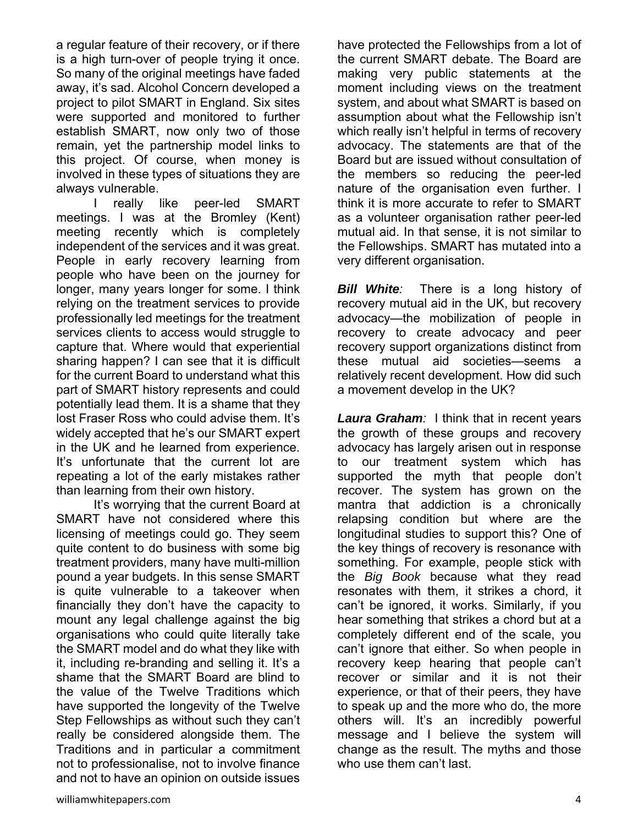a regular feature of their recovery, or if there is a high turn-over of people trying it once. So many of the original meetings have faded away, it's sad. Alcohol Concern developed a project to pilot SMART in England. Six sites were supported and monitored to further establish SMART, now only two of those remain, yet the partnership model links to this project. Of course, when money is involved in these types of situations they are always vulnerable.

really like peer-led SMART meetings. I was at the Bromley (Kent) meeting recently which is completely independent of the services and it was great. People in early recovery learning from people who have been on the journey for longer, many years longer for some. I think relying on the treatment services to provide professionally led meetings for the treatment services clients to access would struggle to capture that. Where would that experiential sharing happen? I can see that it is difficult for the current Board to understand what this part of SMART history represents and could potentially lead them. It is a shame that they lost Fraser Ross who could advise them. It's widely accepted that he's our SMART expert in the UK and he learned from experience. It's unfortunate that the current lot are repeating a lot of the early mistakes rather than learning from their own history.

 It's worrying that the current Board at SMART have not considered where this licensing of meetings could go. They seem quite content to do business with some big treatment providers, many have multi-million pound a year budgets. In this sense SMART is quite vulnerable to a takeover when financially they don't have the capacity to mount any legal challenge against the big organisations who could quite literally take the SMART model and do what they like with it, including re-branding and selling it. It's a shame that the SMART Board are blind to the value of the Twelve Traditions which have supported the longevity of the Twelve Step Fellowships as without such they can't really be considered alongside them. The Traditions and in particular a commitment not to professionalise, not to involve finance and not to have an opinion on outside issues

have protected the Fellowships from a lot of the current SMART debate. The Board are making very public statements at the moment including views on the treatment system, and about what SMART is based on assumption about what the Fellowship isn't which really isn't helpful in terms of recovery advocacy. The statements are that of the Board but are issued without consultation of the members so reducing the peer-led nature of the organisation even further. I think it is more accurate to refer to SMART as a volunteer organisation rather peer-led mutual aid. In that sense, it is not similar to the Fellowships. SMART has mutated into a very different organisation.

*Bill White:* There is a long history of recovery mutual aid in the UK, but recovery advocacy—the mobilization of people in recovery to create advocacy and peer recovery support organizations distinct from these mutual aid societies—seems a relatively recent development. How did such a movement develop in the UK?

*Laura Graham:* I think that in recent years the growth of these groups and recovery advocacy has largely arisen out in response to our treatment system which has supported the myth that people don't recover. The system has grown on the mantra that addiction is a chronically relapsing condition but where are the longitudinal studies to support this? One of the key things of recovery is resonance with something. For example, people stick with the *Big Book* because what they read resonates with them, it strikes a chord, it can't be ignored, it works. Similarly, if you hear something that strikes a chord but at a completely different end of the scale, you can't ignore that either. So when people in recovery keep hearing that people can't recover or similar and it is not their experience, or that of their peers, they have to speak up and the more who do, the more others will. It's an incredibly powerful message and I believe the system will change as the result. The myths and those who use them can't last.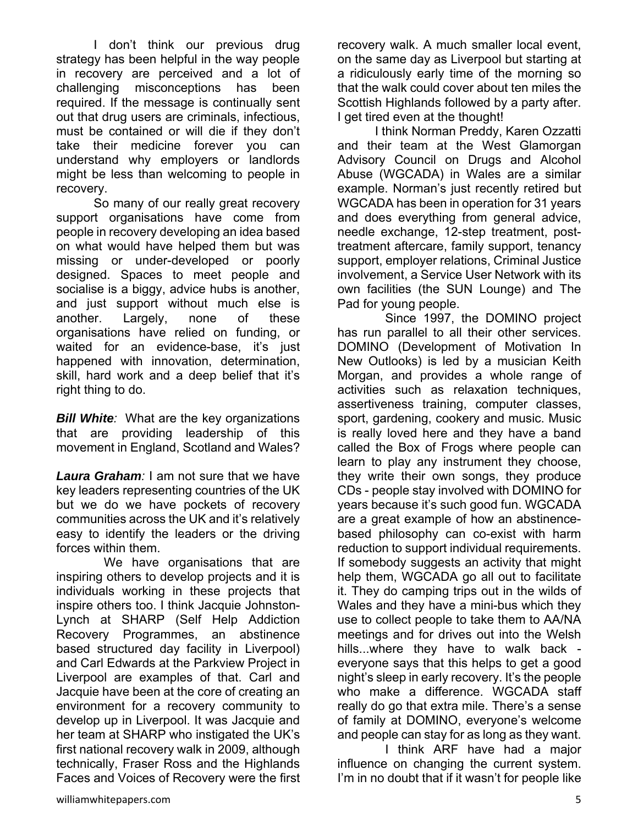I don't think our previous drug strategy has been helpful in the way people in recovery are perceived and a lot of challenging misconceptions has been required. If the message is continually sent out that drug users are criminals, infectious, must be contained or will die if they don't take their medicine forever you can understand why employers or landlords might be less than welcoming to people in recovery.

 So many of our really great recovery support organisations have come from people in recovery developing an idea based on what would have helped them but was missing or under-developed or poorly designed. Spaces to meet people and socialise is a biggy, advice hubs is another, and just support without much else is another. Largely, none of these organisations have relied on funding, or waited for an evidence-base, it's just happened with innovation, determination, skill, hard work and a deep belief that it's right thing to do.

*Bill White:* What are the key organizations that are providing leadership of this movement in England, Scotland and Wales?

*Laura Graham:* I am not sure that we have key leaders representing countries of the UK but we do we have pockets of recovery communities across the UK and it's relatively easy to identify the leaders or the driving forces within them.

We have organisations that are inspiring others to develop projects and it is individuals working in these projects that inspire others too. I think Jacquie Johnston-Lynch at SHARP (Self Help Addiction Recovery Programmes, an abstinence based structured day facility in Liverpool) and Carl Edwards at the Parkview Project in Liverpool are examples of that. Carl and Jacquie have been at the core of creating an environment for a recovery community to develop up in Liverpool. It was Jacquie and her team at SHARP who instigated the UK's first national recovery walk in 2009, although technically, Fraser Ross and the Highlands Faces and Voices of Recovery were the first recovery walk. A much smaller local event, on the same day as Liverpool but starting at a ridiculously early time of the morning so that the walk could cover about ten miles the Scottish Highlands followed by a party after. I get tired even at the thought!

 I think Norman Preddy, Karen Ozzatti and their team at the West Glamorgan Advisory Council on Drugs and Alcohol Abuse (WGCADA) in Wales are a similar example. Norman's just recently retired but WGCADA has been in operation for 31 years and does everything from general advice, needle exchange, 12-step treatment, posttreatment aftercare, family support, tenancy support, employer relations, Criminal Justice involvement, a Service User Network with its own facilities (the SUN Lounge) and The Pad for young people.

 Since 1997, the DOMINO project has run parallel to all their other services. DOMINO (Development of Motivation In New Outlooks) is led by a musician Keith Morgan, and provides a whole range of activities such as relaxation techniques, assertiveness training, computer classes, sport, gardening, cookery and music. Music is really loved here and they have a band called the Box of Frogs where people can learn to play any instrument they choose, they write their own songs, they produce CDs - people stay involved with DOMINO for years because it's such good fun. WGCADA are a great example of how an abstinencebased philosophy can co-exist with harm reduction to support individual requirements. If somebody suggests an activity that might help them, WGCADA go all out to facilitate it. They do camping trips out in the wilds of Wales and they have a mini-bus which they use to collect people to take them to AA/NA meetings and for drives out into the Welsh hills...where they have to walk back everyone says that this helps to get a good night's sleep in early recovery. It's the people who make a difference. WGCADA staff really do go that extra mile. There's a sense of family at DOMINO, everyone's welcome and people can stay for as long as they want.

 I think ARF have had a major influence on changing the current system. I'm in no doubt that if it wasn't for people like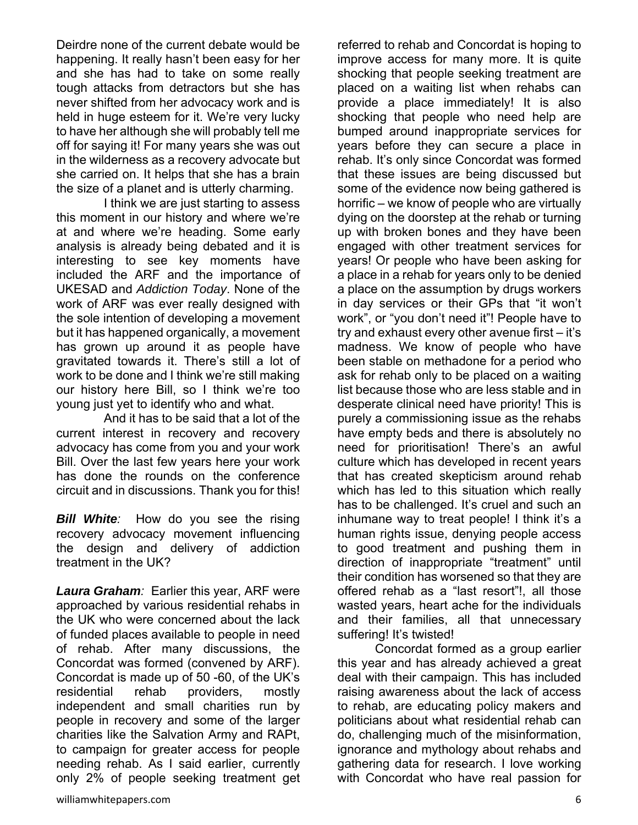Deirdre none of the current debate would be happening. It really hasn't been easy for her and she has had to take on some really tough attacks from detractors but she has never shifted from her advocacy work and is held in huge esteem for it. We're very lucky to have her although she will probably tell me off for saying it! For many years she was out in the wilderness as a recovery advocate but she carried on. It helps that she has a brain the size of a planet and is utterly charming.

 I think we are just starting to assess this moment in our history and where we're at and where we're heading. Some early analysis is already being debated and it is interesting to see key moments have included the ARF and the importance of UKESAD and *Addiction Today*. None of the work of ARF was ever really designed with the sole intention of developing a movement but it has happened organically, a movement has grown up around it as people have gravitated towards it. There's still a lot of work to be done and I think we're still making our history here Bill, so I think we're too young just yet to identify who and what.

 And it has to be said that a lot of the current interest in recovery and recovery advocacy has come from you and your work Bill. Over the last few years here your work has done the rounds on the conference circuit and in discussions. Thank you for this!

*Bill White:* How do you see the rising recovery advocacy movement influencing the design and delivery of addiction treatment in the UK?

*Laura Graham:* Earlier this year, ARF were approached by various residential rehabs in the UK who were concerned about the lack of funded places available to people in need of rehab. After many discussions, the Concordat was formed (convened by ARF). Concordat is made up of 50 -60, of the UK's residential rehab providers, mostly independent and small charities run by people in recovery and some of the larger charities like the Salvation Army and RAPt, to campaign for greater access for people needing rehab. As I said earlier, currently only 2% of people seeking treatment get improve access for many more. It is quite shocking that people seeking treatment are placed on a waiting list when rehabs can provide a place immediately! It is also shocking that people who need help are bumped around inappropriate services for years before they can secure a place in rehab. It's only since Concordat was formed that these issues are being discussed but some of the evidence now being gathered is horrific – we know of people who are virtually dying on the doorstep at the rehab or turning up with broken bones and they have been engaged with other treatment services for years! Or people who have been asking for a place in a rehab for years only to be denied a place on the assumption by drugs workers in day services or their GPs that "it won't work", or "you don't need it"! People have to try and exhaust every other avenue first – it's madness. We know of people who have been stable on methadone for a period who ask for rehab only to be placed on a waiting list because those who are less stable and in desperate clinical need have priority! This is purely a commissioning issue as the rehabs have empty beds and there is absolutely no need for prioritisation! There's an awful culture which has developed in recent years that has created skepticism around rehab which has led to this situation which really has to be challenged. It's cruel and such an inhumane way to treat people! I think it's a human rights issue, denying people access to good treatment and pushing them in direction of inappropriate "treatment" until their condition has worsened so that they are offered rehab as a "last resort"!, all those wasted years, heart ache for the individuals and their families, all that unnecessary suffering! It's twisted! Concordat formed as a group earlier

referred to rehab and Concordat is hoping to

this year and has already achieved a great deal with their campaign. This has included raising awareness about the lack of access to rehab, are educating policy makers and politicians about what residential rehab can do, challenging much of the misinformation, ignorance and mythology about rehabs and gathering data for research. I love working with Concordat who have real passion for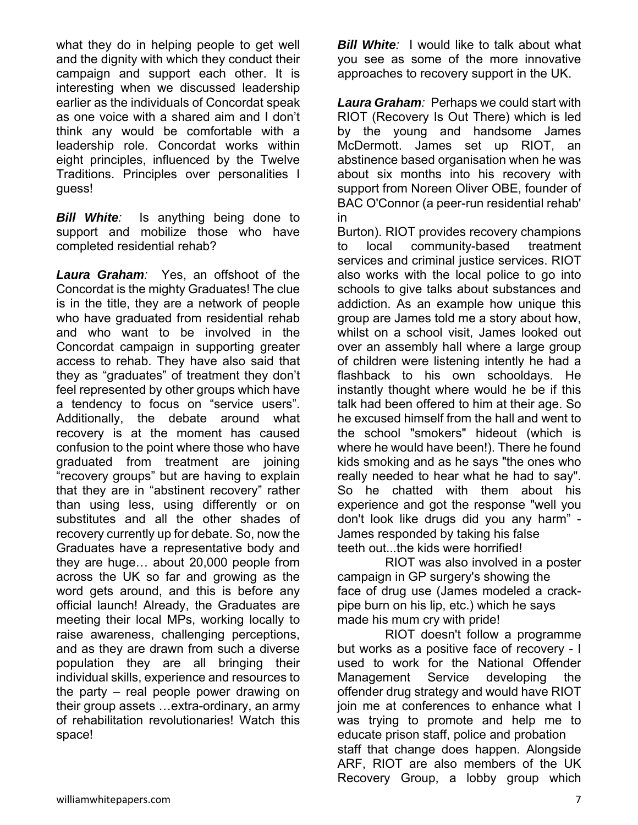what they do in helping people to get well and the dignity with which they conduct their campaign and support each other. It is interesting when we discussed leadership earlier as the individuals of Concordat speak as one voice with a shared aim and I don't think any would be comfortable with a leadership role. Concordat works within eight principles, influenced by the Twelve Traditions. Principles over personalities I guess!

*Bill White:* Is anything being done to support and mobilize those who have completed residential rehab?

*Laura Graham:* Yes, an offshoot of the Concordat is the mighty Graduates! The clue is in the title, they are a network of people who have graduated from residential rehab and who want to be involved in the Concordat campaign in supporting greater access to rehab. They have also said that they as "graduates" of treatment they don't feel represented by other groups which have a tendency to focus on "service users". Additionally, the debate around what recovery is at the moment has caused confusion to the point where those who have graduated from treatment are joining "recovery groups" but are having to explain that they are in "abstinent recovery" rather than using less, using differently or on substitutes and all the other shades of recovery currently up for debate. So, now the Graduates have a representative body and they are huge… about 20,000 people from across the UK so far and growing as the word gets around, and this is before any official launch! Already, the Graduates are meeting their local MPs, working locally to raise awareness, challenging perceptions, and as they are drawn from such a diverse population they are all bringing their individual skills, experience and resources to the party – real people power drawing on their group assets …extra-ordinary, an army of rehabilitation revolutionaries! Watch this space!

*Bill White:* I would like to talk about what you see as some of the more innovative approaches to recovery support in the UK.

*Laura Graham:* Perhaps we could start with RIOT (Recovery Is Out There) which is led by the young and handsome James McDermott. James set up RIOT, an abstinence based organisation when he was about six months into his recovery with support from Noreen Oliver OBE, founder of BAC O'Connor (a peer-run residential rehab' in

Burton). RIOT provides recovery champions to local community-based treatment services and criminal justice services. RIOT also works with the local police to go into schools to give talks about substances and addiction. As an example how unique this group are James told me a story about how, whilst on a school visit, James looked out over an assembly hall where a large group of children were listening intently he had a flashback to his own schooldays. He instantly thought where would he be if this talk had been offered to him at their age. So he excused himself from the hall and went to the school "smokers" hideout (which is where he would have been!). There he found kids smoking and as he says "the ones who really needed to hear what he had to say". So he chatted with them about his experience and got the response "well you don't look like drugs did you any harm" - James responded by taking his false teeth out...the kids were horrified!

 RIOT was also involved in a poster campaign in GP surgery's showing the face of drug use (James modeled a crackpipe burn on his lip, etc.) which he says made his mum cry with pride!

 RIOT doesn't follow a programme but works as a positive face of recovery - I used to work for the National Offender Management Service developing the offender drug strategy and would have RIOT join me at conferences to enhance what I was trying to promote and help me to educate prison staff, police and probation staff that change does happen. Alongside ARF, RIOT are also members of the UK Recovery Group, a lobby group which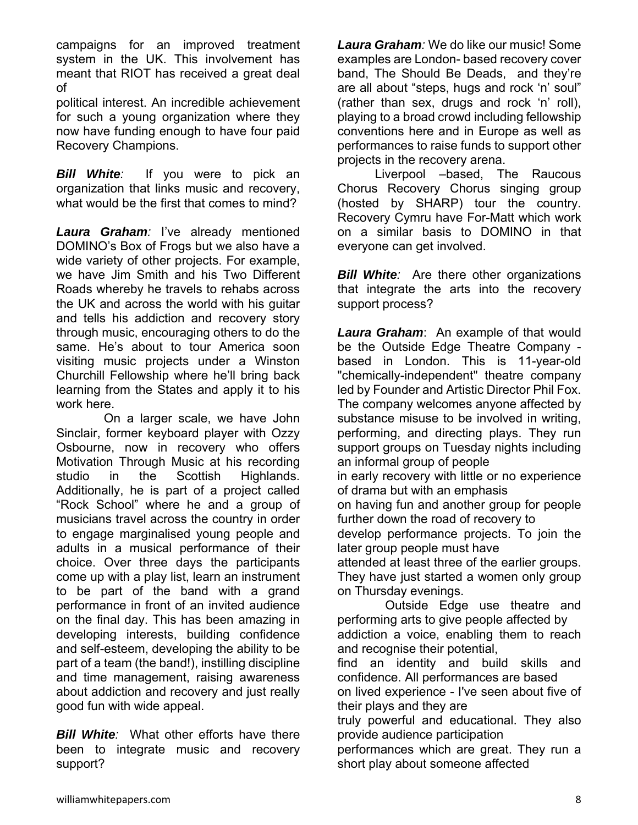campaigns for an improved treatment system in the UK. This involvement has meant that RIOT has received a great deal of

political interest. An incredible achievement for such a young organization where they now have funding enough to have four paid Recovery Champions.

*Bill White:* If you were to pick an organization that links music and recovery, what would be the first that comes to mind?

*Laura Graham:* I've already mentioned DOMINO's Box of Frogs but we also have a wide variety of other projects. For example, we have Jim Smith and his Two Different Roads whereby he travels to rehabs across the UK and across the world with his guitar and tells his addiction and recovery story through music, encouraging others to do the same. He's about to tour America soon visiting music projects under a Winston Churchill Fellowship where he'll bring back learning from the States and apply it to his work here.

 On a larger scale, we have John Sinclair, former keyboard player with Ozzy Osbourne, now in recovery who offers Motivation Through Music at his recording studio in the Scottish Highlands. Additionally, he is part of a project called "Rock School" where he and a group of musicians travel across the country in order to engage marginalised young people and adults in a musical performance of their choice. Over three days the participants come up with a play list, learn an instrument to be part of the band with a grand performance in front of an invited audience on the final day. This has been amazing in developing interests, building confidence and self-esteem, developing the ability to be part of a team (the band!), instilling discipline and time management, raising awareness about addiction and recovery and just really good fun with wide appeal.

*Bill White:* What other efforts have there been to integrate music and recovery support?

*Laura Graham:* We do like our music! Some examples are London- based recovery cover band, The Should Be Deads, and they're are all about "steps, hugs and rock 'n' soul" (rather than sex, drugs and rock 'n' roll), playing to a broad crowd including fellowship conventions here and in Europe as well as performances to raise funds to support other projects in the recovery arena.

 Liverpool –based, The Raucous Chorus Recovery Chorus singing group (hosted by SHARP) tour the country. Recovery Cymru have For-Matt which work on a similar basis to DOMINO in that everyone can get involved.

*Bill White:* Are there other organizations that integrate the arts into the recovery support process?

*Laura Graham*: An example of that would be the Outside Edge Theatre Company based in London. This is 11-year-old "chemically-independent" theatre company led by Founder and Artistic Director Phil Fox. The company welcomes anyone affected by substance misuse to be involved in writing, performing, and directing plays. They run support groups on Tuesday nights including an informal group of people in early recovery with little or no experience of drama but with an emphasis on having fun and another group for people further down the road of recovery to develop performance projects. To join the later group people must have attended at least three of the earlier groups. They have just started a women only group on Thursday evenings. Outside Edge use theatre and performing arts to give people affected by

addiction a voice, enabling them to reach and recognise their potential,

find an identity and build skills and confidence. All performances are based

on lived experience - I've seen about five of their plays and they are

truly powerful and educational. They also provide audience participation

performances which are great. They run a short play about someone affected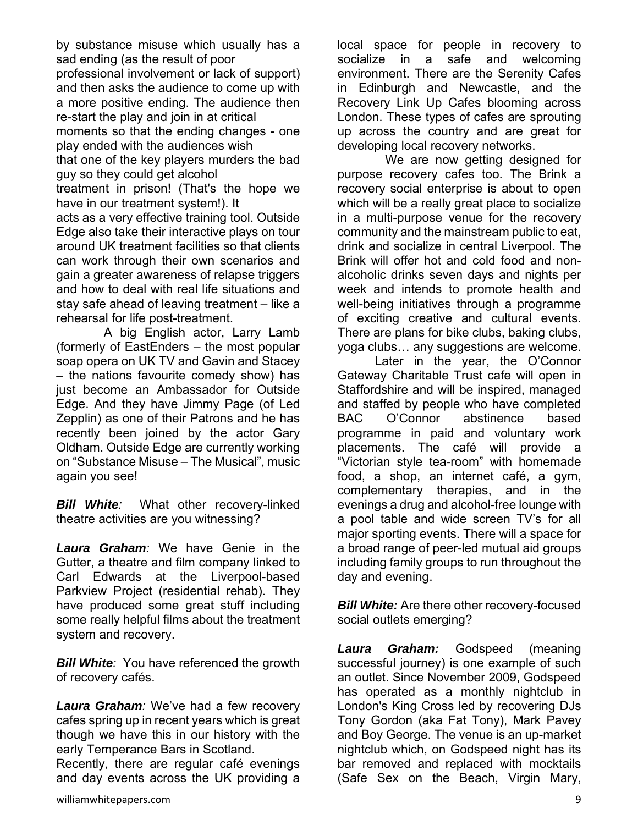by substance misuse which usually has a sad ending (as the result of poor

professional involvement or lack of support) and then asks the audience to come up with a more positive ending. The audience then re-start the play and join in at critical

moments so that the ending changes - one play ended with the audiences wish

that one of the key players murders the bad guy so they could get alcohol

treatment in prison! (That's the hope we have in our treatment system!). It

acts as a very effective training tool. Outside Edge also take their interactive plays on tour around UK treatment facilities so that clients can work through their own scenarios and gain a greater awareness of relapse triggers and how to deal with real life situations and stay safe ahead of leaving treatment – like a rehearsal for life post-treatment.

 A big English actor, Larry Lamb (formerly of EastEnders – the most popular soap opera on UK TV and Gavin and Stacey – the nations favourite comedy show) has just become an Ambassador for Outside Edge. And they have Jimmy Page (of Led Zepplin) as one of their Patrons and he has recently been joined by the actor Gary Oldham. Outside Edge are currently working on "Substance Misuse – The Musical", music again you see!

*Bill White:* What other recovery-linked theatre activities are you witnessing?

*Laura Graham:* We have Genie in the Gutter, a theatre and film company linked to Carl Edwards at the Liverpool-based Parkview Project (residential rehab). They have produced some great stuff including some really helpful films about the treatment system and recovery.

*Bill White:* You have referenced the growth of recovery cafés.

*Laura Graham:* We've had a few recovery cafes spring up in recent years which is great though we have this in our history with the early Temperance Bars in Scotland.

Recently, there are regular café evenings and day events across the UK providing a

 We are now getting designed for purpose recovery cafes too. The Brink a recovery social enterprise is about to open which will be a really great place to socialize in a multi-purpose venue for the recovery community and the mainstream public to eat, drink and socialize in central Liverpool. The Brink will offer hot and cold food and nonalcoholic drinks seven days and nights per week and intends to promote health and well-being initiatives through a programme of exciting creative and cultural events. There are plans for bike clubs, baking clubs, yoga clubs… any suggestions are welcome.

 Later in the year, the O'Connor Gateway Charitable Trust cafe will open in Staffordshire and will be inspired, managed and staffed by people who have completed BAC O'Connor abstinence based programme in paid and voluntary work placements. The café will provide a "Victorian style tea-room" with homemade food, a shop, an internet café, a gym, complementary therapies, and in the evenings a drug and alcohol-free lounge with a pool table and wide screen TV's for all major sporting events. There will a space for a broad range of peer-led mutual aid groups including family groups to run throughout the day and evening.

*Bill White:* Are there other recovery-focused social outlets emerging?

*Laura Graham:* Godspeed (meaning successful journey) is one example of such an outlet. Since November 2009, Godspeed has operated as a monthly nightclub in London's King Cross led by recovering DJs Tony Gordon (aka Fat Tony), Mark Pavey and Boy George. The venue is an up-market nightclub which, on Godspeed night has its bar removed and replaced with mocktails (Safe Sex on the Beach, Virgin Mary,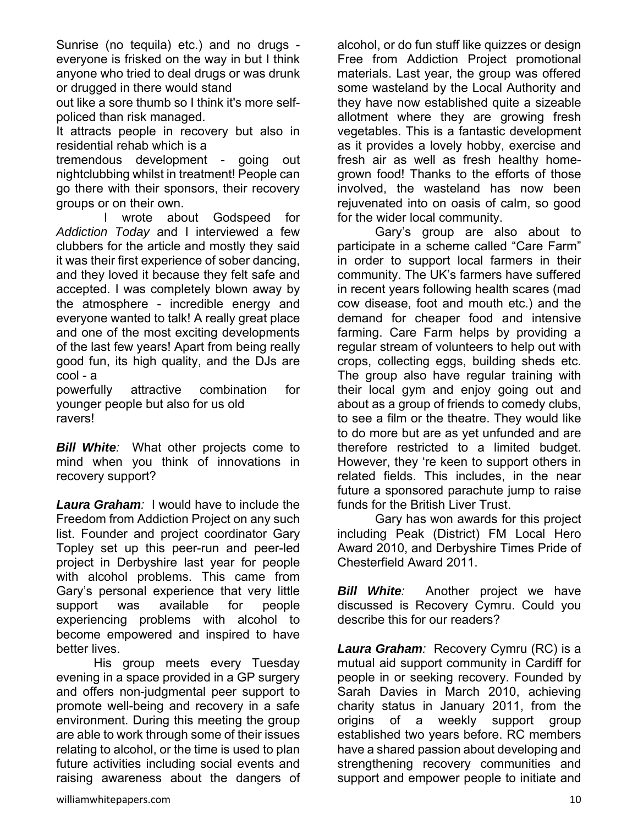Sunrise (no tequila) etc.) and no drugs everyone is frisked on the way in but I think anyone who tried to deal drugs or was drunk or drugged in there would stand

out like a sore thumb so I think it's more selfpoliced than risk managed.

It attracts people in recovery but also in residential rehab which is a

tremendous development - going out nightclubbing whilst in treatment! People can go there with their sponsors, their recovery groups or on their own.

wrote about Godspeed for *Addiction Today* and I interviewed a few clubbers for the article and mostly they said it was their first experience of sober dancing, and they loved it because they felt safe and accepted. I was completely blown away by the atmosphere - incredible energy and everyone wanted to talk! A really great place and one of the most exciting developments of the last few years! Apart from being really good fun, its high quality, and the DJs are cool - a

powerfully attractive combination for younger people but also for us old ravers!

*Bill White:* What other projects come to mind when you think of innovations in recovery support?

*Laura Graham:* I would have to include the Freedom from Addiction Project on any such list. Founder and project coordinator Gary Topley set up this peer-run and peer-led project in Derbyshire last year for people with alcohol problems. This came from Gary's personal experience that very little support was available for people experiencing problems with alcohol to become empowered and inspired to have better lives.

 His group meets every Tuesday evening in a space provided in a GP surgery and offers non-judgmental peer support to promote well-being and recovery in a safe environment. During this meeting the group are able to work through some of their issues relating to alcohol, or the time is used to plan future activities including social events and raising awareness about the dangers of alcohol, or do fun stuff like quizzes or design Free from Addiction Project promotional materials. Last year, the group was offered some wasteland by the Local Authority and they have now established quite a sizeable allotment where they are growing fresh vegetables. This is a fantastic development as it provides a lovely hobby, exercise and fresh air as well as fresh healthy homegrown food! Thanks to the efforts of those involved, the wasteland has now been rejuvenated into on oasis of calm, so good for the wider local community.

 Gary's group are also about to participate in a scheme called "Care Farm" in order to support local farmers in their community. The UK's farmers have suffered in recent years following health scares (mad cow disease, foot and mouth etc.) and the demand for cheaper food and intensive farming. Care Farm helps by providing a regular stream of volunteers to help out with crops, collecting eggs, building sheds etc. The group also have regular training with their local gym and enjoy going out and about as a group of friends to comedy clubs, to see a film or the theatre. They would like to do more but are as yet unfunded and are therefore restricted to a limited budget. However, they 're keen to support others in related fields. This includes, in the near future a sponsored parachute jump to raise funds for the British Liver Trust.

 Gary has won awards for this project including Peak (District) FM Local Hero Award 2010, and Derbyshire Times Pride of Chesterfield Award 2011.

*Bill White:* Another project we have discussed is Recovery Cymru. Could you describe this for our readers?

*Laura Graham:* Recovery Cymru (RC) is a mutual aid support community in Cardiff for people in or seeking recovery. Founded by Sarah Davies in March 2010, achieving charity status in January 2011, from the origins of a weekly support group established two years before. RC members have a shared passion about developing and strengthening recovery communities and support and empower people to initiate and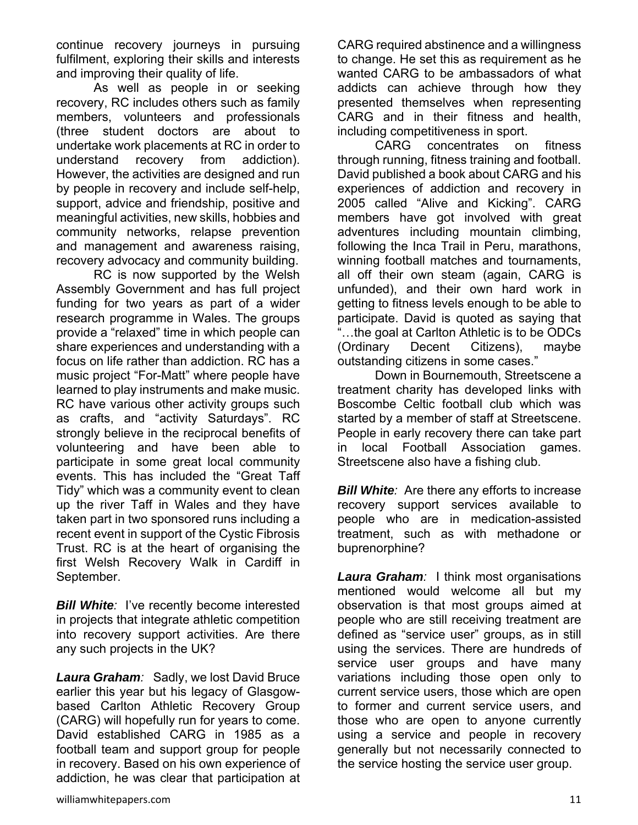continue recovery journeys in pursuing fulfilment, exploring their skills and interests and improving their quality of life.

 As well as people in or seeking recovery, RC includes others such as family members, volunteers and professionals (three student doctors are about to undertake work placements at RC in order to understand recovery from addiction). However, the activities are designed and run by people in recovery and include self-help, support, advice and friendship, positive and meaningful activities, new skills, hobbies and community networks, relapse prevention and management and awareness raising, recovery advocacy and community building.

 RC is now supported by the Welsh Assembly Government and has full project funding for two years as part of a wider research programme in Wales. The groups provide a "relaxed" time in which people can share experiences and understanding with a focus on life rather than addiction. RC has a music project "For-Matt" where people have learned to play instruments and make music. RC have various other activity groups such as crafts, and "activity Saturdays". RC strongly believe in the reciprocal benefits of volunteering and have been able to participate in some great local community events. This has included the "Great Taff Tidy" which was a community event to clean up the river Taff in Wales and they have taken part in two sponsored runs including a recent event in support of the Cystic Fibrosis Trust. RC is at the heart of organising the first Welsh Recovery Walk in Cardiff in September.

*Bill White:* I've recently become interested in projects that integrate athletic competition into recovery support activities. Are there any such projects in the UK?

*Laura Graham:* Sadly, we lost David Bruce earlier this year but his legacy of Glasgowbased Carlton Athletic Recovery Group (CARG) will hopefully run for years to come. David established CARG in 1985 as a football team and support group for people in recovery. Based on his own experience of addiction, he was clear that participation at

 CARG concentrates on fitness through running, fitness training and football. David published a book about CARG and his experiences of addiction and recovery in 2005 called "Alive and Kicking". CARG members have got involved with great adventures including mountain climbing, following the Inca Trail in Peru, marathons, winning football matches and tournaments, all off their own steam (again, CARG is unfunded), and their own hard work in getting to fitness levels enough to be able to participate. David is quoted as saying that "…the goal at Carlton Athletic is to be ODCs (Ordinary Decent Citizens), maybe outstanding citizens in some cases."

 Down in Bournemouth, Streetscene a treatment charity has developed links with Boscombe Celtic football club which was started by a member of staff at Streetscene. People in early recovery there can take part in local Football Association games. Streetscene also have a fishing club.

*Bill White:* Are there any efforts to increase recovery support services available to people who are in medication-assisted treatment, such as with methadone or buprenorphine?

*Laura Graham:* I think most organisations mentioned would welcome all but my observation is that most groups aimed at people who are still receiving treatment are defined as "service user" groups, as in still using the services. There are hundreds of service user groups and have many variations including those open only to current service users, those which are open to former and current service users, and those who are open to anyone currently using a service and people in recovery generally but not necessarily connected to the service hosting the service user group.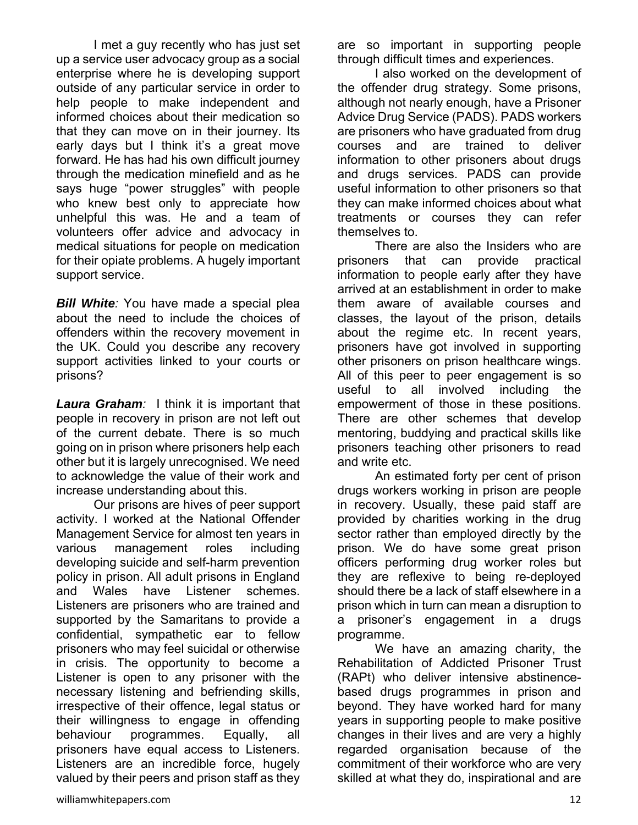I met a guy recently who has just set up a service user advocacy group as a social enterprise where he is developing support outside of any particular service in order to help people to make independent and informed choices about their medication so that they can move on in their journey. Its early days but I think it's a great move forward. He has had his own difficult journey through the medication minefield and as he says huge "power struggles" with people who knew best only to appreciate how unhelpful this was. He and a team of volunteers offer advice and advocacy in medical situations for people on medication for their opiate problems. A hugely important support service.

*Bill White:* You have made a special plea about the need to include the choices of offenders within the recovery movement in the UK. Could you describe any recovery support activities linked to your courts or prisons?

*Laura Graham:* I think it is important that people in recovery in prison are not left out of the current debate. There is so much going on in prison where prisoners help each other but it is largely unrecognised. We need to acknowledge the value of their work and increase understanding about this.

 Our prisons are hives of peer support activity. I worked at the National Offender Management Service for almost ten years in various management roles including developing suicide and self-harm prevention policy in prison. All adult prisons in England and Wales have Listener schemes. Listeners are prisoners who are trained and supported by the Samaritans to provide a confidential, sympathetic ear to fellow prisoners who may feel suicidal or otherwise in crisis. The opportunity to become a Listener is open to any prisoner with the necessary listening and befriending skills, irrespective of their offence, legal status or their willingness to engage in offending behaviour programmes. Equally, all prisoners have equal access to Listeners. Listeners are an incredible force, hugely valued by their peers and prison staff as they are so important in supporting people through difficult times and experiences.

 I also worked on the development of the offender drug strategy. Some prisons, although not nearly enough, have a Prisoner Advice Drug Service (PADS). PADS workers are prisoners who have graduated from drug courses and are trained to deliver information to other prisoners about drugs and drugs services. PADS can provide useful information to other prisoners so that they can make informed choices about what treatments or courses they can refer themselves to.

 There are also the Insiders who are prisoners that can provide practical information to people early after they have arrived at an establishment in order to make them aware of available courses and classes, the layout of the prison, details about the regime etc. In recent years, prisoners have got involved in supporting other prisoners on prison healthcare wings. All of this peer to peer engagement is so useful to all involved including the empowerment of those in these positions. There are other schemes that develop mentoring, buddying and practical skills like prisoners teaching other prisoners to read and write etc.

 An estimated forty per cent of prison drugs workers working in prison are people in recovery. Usually, these paid staff are provided by charities working in the drug sector rather than employed directly by the prison. We do have some great prison officers performing drug worker roles but they are reflexive to being re-deployed should there be a lack of staff elsewhere in a prison which in turn can mean a disruption to a prisoner's engagement in a drugs programme.

 We have an amazing charity, the Rehabilitation of Addicted Prisoner Trust (RAPt) who deliver intensive abstinencebased drugs programmes in prison and beyond. They have worked hard for many years in supporting people to make positive changes in their lives and are very a highly regarded organisation because of the commitment of their workforce who are very skilled at what they do, inspirational and are